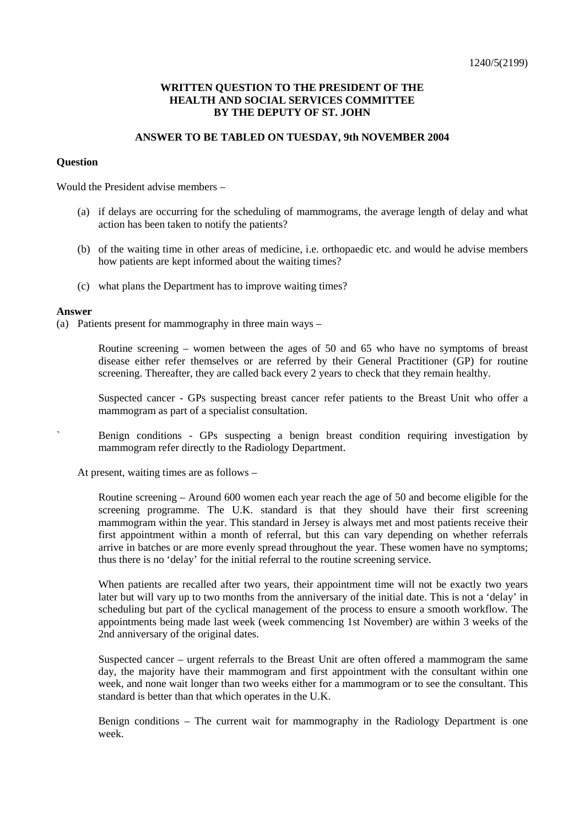## **WRITTEN QUESTION TO THE PRESIDENT OF THE HEALTH AND SOCIAL SERVICES COMMITTEE BY THE DEPUTY OF ST. JOHN**

### **ANSWER TO BE TABLED ON TUESDAY, 9th NOVEMBER 2004**

### **Question**

Would the President advise members –

- (a) if delays are occurring for the scheduling of mammograms, the average length of delay and what action has been taken to notify the patients?
- (b) of the waiting time in other areas of medicine, i.e. orthopaedic etc. and would he advise members how patients are kept informed about the waiting times?
- (c) what plans the Department has to improve waiting times?

#### **Answer**

(a) Patients present for mammography in three main ways –

 Routine screening – women between the ages of 50 and 65 who have no symptoms of breast disease either refer themselves or are referred by their General Practitioner (GP) for routine screening. Thereafter, they are called back every 2 years to check that they remain healthy.

 Suspected cancer - GPs suspecting breast cancer refer patients to the Breast Unit who offer a mammogram as part of a specialist consultation.

Benign conditions - GPs suspecting a benign breast condition requiring investigation by mammogram refer directly to the Radiology Department.

At present, waiting times are as follows –

 Routine screening – Around 600 women each year reach the age of 50 and become eligible for the screening programme. The U.K. standard is that they should have their first screening mammogram within the year. This standard in Jersey is always met and most patients receive their first appointment within a month of referral, but this can vary depending on whether referrals arrive in batches or are more evenly spread throughout the year. These women have no symptoms; thus there is no 'delay' for the initial referral to the routine screening service.

 When patients are recalled after two years, their appointment time will not be exactly two years later but will vary up to two months from the anniversary of the initial date. This is not a 'delay' in scheduling but part of the cyclical management of the process to ensure a smooth workflow. The appointments being made last week (week commencing 1st November) are within 3 weeks of the 2nd anniversary of the original dates.

 Suspected cancer – urgent referrals to the Breast Unit are often offered a mammogram the same day, the majority have their mammogram and first appointment with the consultant within one week, and none wait longer than two weeks either for a mammogram or to see the consultant. This standard is better than that which operates in the U.K.

 Benign conditions – The current wait for mammography in the Radiology Department is one week.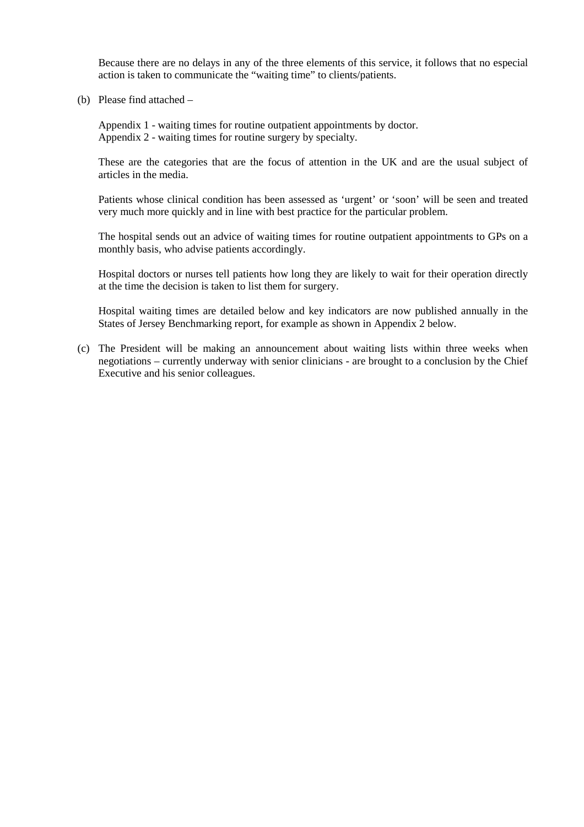Because there are no delays in any of the three elements of this service, it follows that no especial action is taken to communicate the "waiting time" to clients/patients.

(b) Please find attached –

 Appendix 1 - waiting times for routine outpatient appointments by doctor. Appendix 2 - waiting times for routine surgery by specialty.

 These are the categories that are the focus of attention in the UK and are the usual subject of articles in the media.

 Patients whose clinical condition has been assessed as 'urgent' or 'soon' will be seen and treated very much more quickly and in line with best practice for the particular problem.

 The hospital sends out an advice of waiting times for routine outpatient appointments to GPs on a monthly basis, who advise patients accordingly.

 Hospital doctors or nurses tell patients how long they are likely to wait for their operation directly at the time the decision is taken to list them for surgery.

 Hospital waiting times are detailed below and key indicators are now published annually in the States of Jersey Benchmarking report, for example as shown in Appendix 2 below.

 (c) The President will be making an announcement about waiting lists within three weeks when negotiations – currently underway with senior clinicians - are brought to a conclusion by the Chief Executive and his senior colleagues.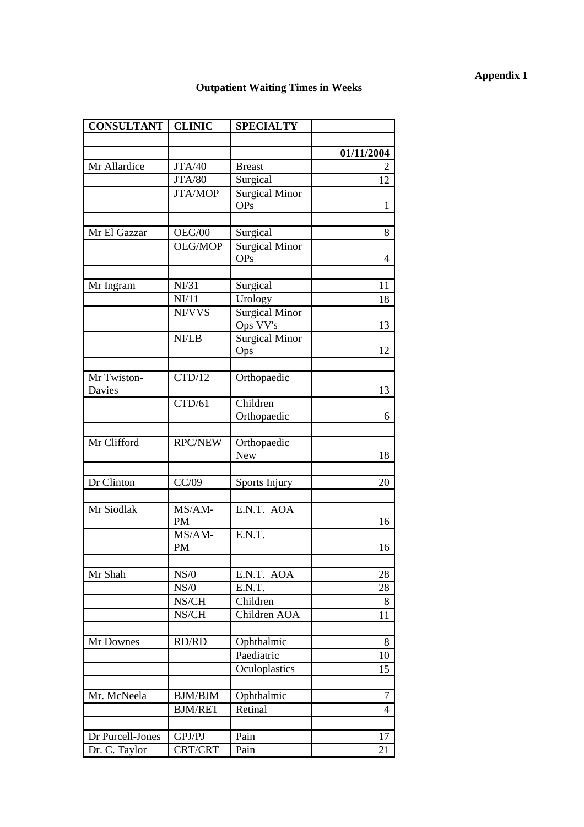# **Appendix 1**

# **Outpatient Waiting Times in Weeks**

| <b>CONSULTANT</b> | <b>CLINIC</b>  | <b>SPECIALTY</b>      |            |  |
|-------------------|----------------|-----------------------|------------|--|
|                   |                |                       |            |  |
|                   |                |                       | 01/11/2004 |  |
| Mr Allardice      | JTA/40         | <b>Breast</b>         | 2          |  |
|                   | <b>JTA/80</b>  | Surgical              | 12         |  |
|                   | <b>JTA/MOP</b> | Surgical Minor        |            |  |
|                   |                | <b>OPs</b>            | 1          |  |
|                   |                |                       |            |  |
| Mr El Gazzar      | OEG/00         | Surgical              | 8          |  |
|                   | OEG/MOP        | <b>Surgical Minor</b> |            |  |
|                   |                | <b>OPs</b>            | 4          |  |
| Mr Ingram         | NI/31          |                       | 11         |  |
|                   | NI/11          | Surgical              |            |  |
|                   |                | Urology               | 18         |  |
|                   | NI/VVS         | <b>Surgical Minor</b> | 13         |  |
|                   | NI/LB          | Ops VV's              |            |  |
|                   |                | <b>Surgical Minor</b> | 12         |  |
|                   |                | Ops                   |            |  |
| Mr Twiston-       | CTD/12         | Orthopaedic           |            |  |
| <b>Davies</b>     |                |                       | 13         |  |
|                   | CTD/61         | Children              |            |  |
|                   |                | Orthopaedic           | 6          |  |
|                   |                |                       |            |  |
| Mr Clifford       | <b>RPC/NEW</b> | Orthopaedic           |            |  |
|                   |                | <b>New</b>            | 18         |  |
|                   |                |                       |            |  |
| Dr Clinton        | CC/09          | Sports Injury         | 20         |  |
|                   |                |                       |            |  |
| Mr Siodlak        | MS/AM-         | E.N.T. AOA            |            |  |
|                   | <b>PM</b>      |                       | 16         |  |
|                   | MS/AM-         | E.N.T.                |            |  |
|                   | PM             |                       | 16         |  |
|                   |                |                       |            |  |
| Mr Shah           | NS/0           | E.N.T. AOA            | 28         |  |
|                   | NS/0           | E.N.T.                | 28         |  |
|                   | NS/CH          | Children              | 8          |  |
|                   | NS/CH          | Children AOA          | 11         |  |
| Mr Downes         | RD/RD          | Ophthalmic            | 8          |  |
|                   |                | Paediatric            | 10         |  |
|                   |                | Oculoplastics         | 15         |  |
|                   |                |                       |            |  |
| Mr. McNeela       | <b>BJM/BJM</b> | Ophthalmic            | 7          |  |
|                   | <b>BJM/RET</b> | Retinal               | 4          |  |
|                   |                |                       |            |  |
| Dr Purcell-Jones  | GPJ/PJ         | Pain                  | 17         |  |
| Dr. C. Taylor     | CRT/CRT        | Pain                  | 21         |  |
|                   |                |                       |            |  |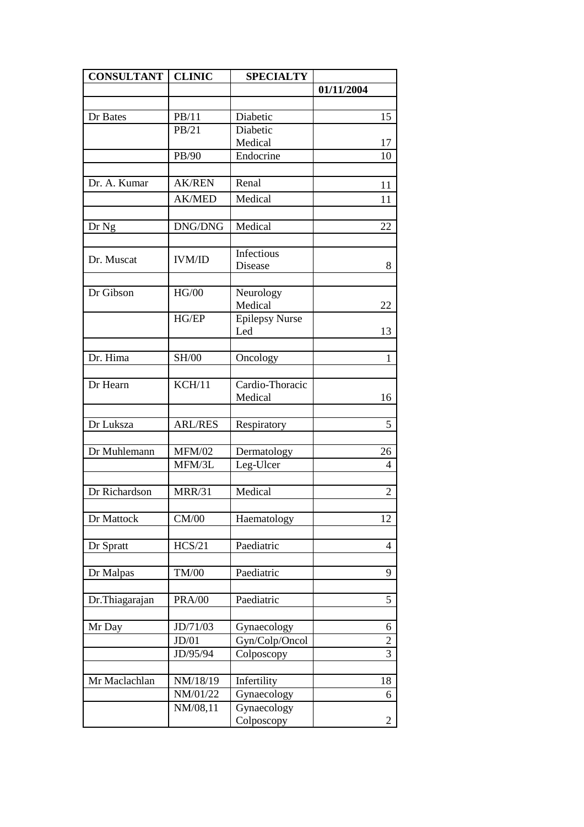| <b>CONSULTANT</b> | <b>CLINIC</b>  | <b>SPECIALTY</b>           |                |  |
|-------------------|----------------|----------------------------|----------------|--|
|                   |                |                            | 01/11/2004     |  |
|                   |                |                            |                |  |
| Dr Bates          | PB/11          | Diabetic                   | 15             |  |
|                   | PB/21          | Diabetic                   |                |  |
|                   |                | Medical                    | 17             |  |
|                   | PB/90          | Endocrine                  | 10             |  |
|                   |                |                            |                |  |
| Dr. A. Kumar      | <b>AK/REN</b>  | Renal                      | 11             |  |
|                   | <b>AK/MED</b>  | Medical                    | 11             |  |
|                   |                |                            |                |  |
| Dr Ng             | DNG/DNG        | Medical                    | 22             |  |
|                   |                |                            |                |  |
| Dr. Muscat        | <b>IVM/ID</b>  | Infectious                 |                |  |
|                   |                | Disease                    | 8              |  |
|                   |                |                            |                |  |
| Dr Gibson         | HG/00          | Neurology                  |                |  |
|                   |                | Medical                    | 22             |  |
|                   | HG/EP          | <b>Epilepsy Nurse</b>      |                |  |
|                   |                | Led                        | 13             |  |
|                   |                |                            |                |  |
| Dr. Hima          | <b>SH/00</b>   | Oncology                   | 1              |  |
|                   |                |                            |                |  |
| Dr Hearn          | KCH/11         | Cardio-Thoracic<br>Medical | 16             |  |
|                   |                |                            |                |  |
| Dr Luksza         | <b>ARL/RES</b> | Respiratory                | 5              |  |
|                   |                |                            |                |  |
| Dr Muhlemann      | <b>MFM/02</b>  | Dermatology                | 26             |  |
|                   | MFM/3L         | Leg-Ulcer                  | $\overline{4}$ |  |
|                   |                |                            |                |  |
| Dr Richardson     | <b>MRR/31</b>  | Medical                    | $\overline{2}$ |  |
|                   |                |                            |                |  |
| Dr Mattock        | CM/00          | Haematology                | 12             |  |
|                   |                |                            |                |  |
| Dr Spratt         | HCS/21         | Paediatric                 | 4              |  |
|                   |                |                            |                |  |
| Dr Malpas         | <b>TM/00</b>   | Paediatric                 | 9              |  |
|                   |                |                            |                |  |
| Dr.Thiagarajan    | <b>PRA/00</b>  | Paediatric                 | 5              |  |
|                   |                |                            |                |  |
| Mr Day            | JD/71/03       | Gynaecology                | 6              |  |
|                   | JD/01          | Gyn/Colp/Oncol             | $\overline{2}$ |  |
|                   | JD/95/94       | Colposcopy                 | 3              |  |
|                   |                |                            |                |  |
| Mr Maclachlan     | NM/18/19       | Infertility                | 18             |  |
|                   | NM/01/22       | Gynaecology                | 6              |  |
|                   | NM/08,11       | Gynaecology                |                |  |
|                   |                | Colposcopy                 | 2              |  |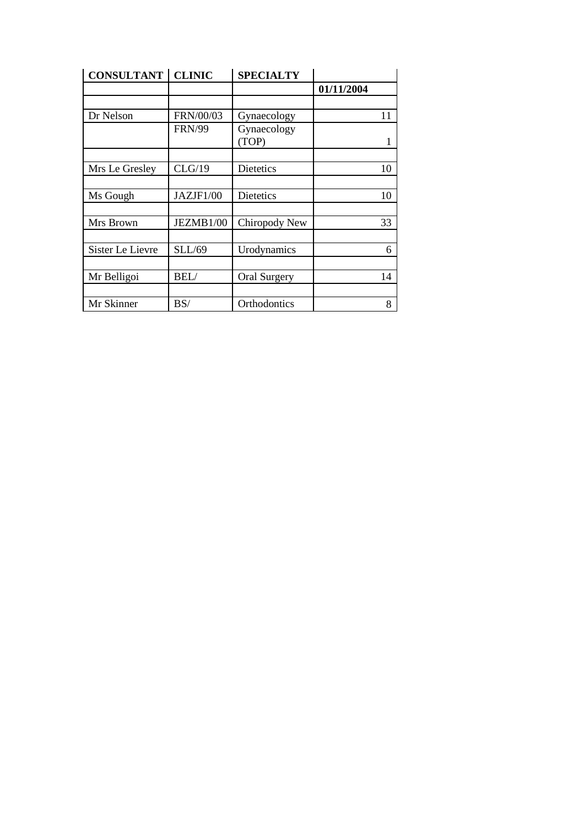| <b>CONSULTANT   CLINIC</b> |               | <b>SPECIALTY</b>     |            |  |  |
|----------------------------|---------------|----------------------|------------|--|--|
|                            |               |                      | 01/11/2004 |  |  |
|                            |               |                      |            |  |  |
| Dr Nelson                  | FRN/00/03     | Gynaecology          | 11         |  |  |
|                            | <b>FRN/99</b> | Gynaecology<br>(TOP) | 1          |  |  |
|                            |               |                      |            |  |  |
| Mrs Le Gresley             | CLG/19        | Dietetics            | 10         |  |  |
|                            |               |                      |            |  |  |
| Ms Gough                   | JAZJF1/00     | Dietetics            | 10         |  |  |
|                            |               |                      |            |  |  |
| Mrs Brown                  | JEZMB1/00     | Chiropody New        | 33         |  |  |
|                            |               |                      |            |  |  |
| Sister Le Lievre           | SLL/69        | Urodynamics          | 6          |  |  |
|                            |               |                      |            |  |  |
| Mr Belligoi                | BEL/          | <b>Oral Surgery</b>  | 14         |  |  |
|                            |               |                      |            |  |  |
| Mr Skinner                 | BS/           | Orthodontics         | 8          |  |  |